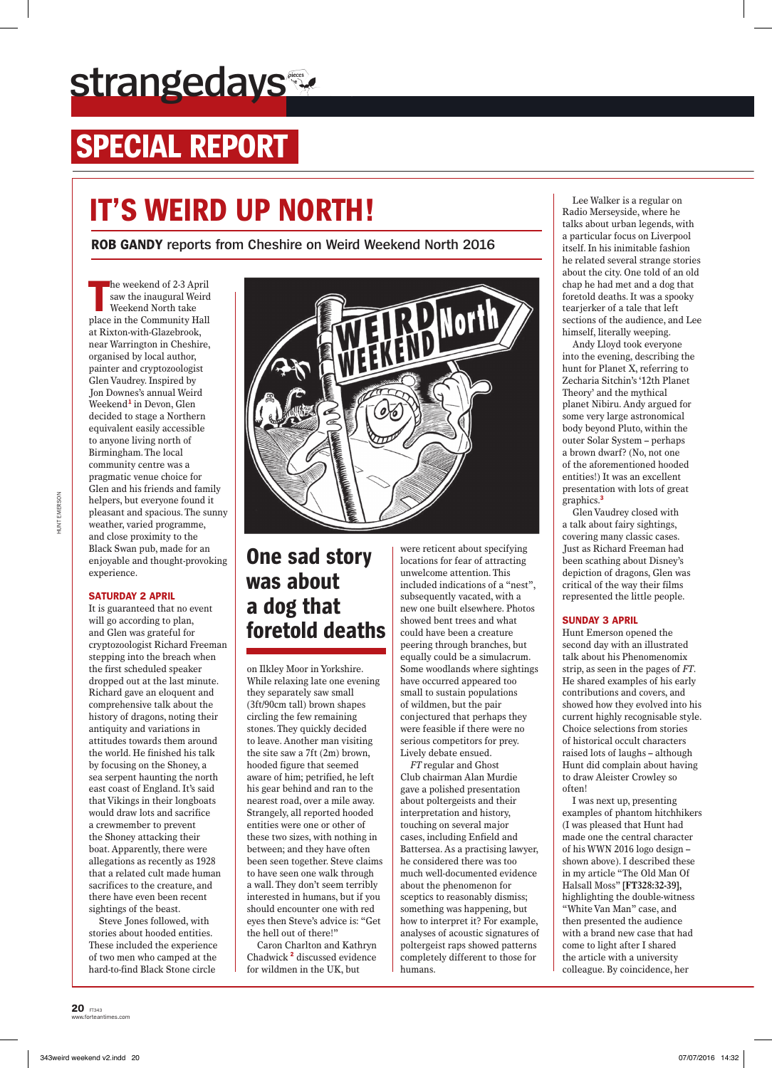# **strangedays**

# **SPECIAL REPORT**

# **It's Weird Up North!**

**Rob Gandy reports from Cheshire on Weird Weekend North 2016**

**The weekend of 2-3 April<br>
saw the inaugural Weird<br>
Weekend North take<br>
place in the Community Hall** he weekend of 2-3 April saw the inaugural Weird Weekend North take at Rixton-with-Glazebrook, near Warrington in Cheshire, organised by local author, painter and cryptozoologist Glen Vaudrey. Inspired by Jon Downes's annual Weird Weekend**<sup>1</sup>** in Devon, Glen decided to stage a Northern equivalent easily accessible to anyone living north of Birmingham. The local community centre was a pragmatic venue choice for Glen and his friends and family helpers, but everyone found it pleasant and spacious. The sunny weather, varied programme, and close proximity to the Black Swan pub, made for an enjoyable and thought-provoking experience.

### **Saturday 2 April**

It is guaranteed that no event will go according to plan, and Glen was grateful for cryptozoologist Richard Freeman stepping into the breach when the first scheduled speaker dropped out at the last minute. Richard gave an eloquent and comprehensive talk about the history of dragons, noting their antiquity and variations in attitudes towards them around the world. He finished his talk by focusing on the Shoney, a sea serpent haunting the north east coast of England. It's said that Vikings in their longboats would draw lots and sacrifice a crewmember to prevent the Shoney attacking their boat. Apparently, there were allegations as recently as 1928 that a related cult made human sacrifices to the creature, and there have even been recent sightings of the beast.

Steve Jones followed, with stories about hooded entities. These included the experience of two men who camped at the hard-to-find Black Stone circle



## **One sad story was about a dog that foretold deaths**

on Ilkley Moor in Yorkshire. While relaxing late one evening they separately saw small (3ft/90cm tall) brown shapes circling the few remaining stones. They quickly decided to leave. Another man visiting the site saw a 7ft (2m) brown, hooded figure that seemed aware of him; petrified, he left his gear behind and ran to the nearest road, over a mile away. Strangely, all reported hooded entities were one or other of these two sizes, with nothing in between; and they have often been seen together. Steve claims to have seen one walk through a wall. They don't seem terribly interested in humans, but if you should encounter one with red eyes then Steve's advice is: "Get the hell out of there!"

Caron Charlton and Kathryn Chadwick **<sup>2</sup>** discussed evidence for wildmen in the UK, but

were reticent about specifying locations for fear of attracting unwelcome attention. This included indications of a "nest", subsequently vacated, with a new one built elsewhere. Photos showed bent trees and what could have been a creature peering through branches, but equally could be a simulacrum. Some woodlands where sightings have occurred appeared too small to sustain populations of wildmen, but the pair conjectured that perhaps they were feasible if there were no serious competitors for prey. Lively debate ensued.

*FT* regular and Ghost Club chairman Alan Murdie gave a polished presentation about poltergeists and their interpretation and history, touching on several major cases, including Enfield and Battersea. As a practising lawyer, he considered there was too much well-documented evidence about the phenomenon for sceptics to reasonably dismiss; something was happening, but how to interpret it? For example, analyses of acoustic signatures of poltergeist raps showed patterns completely different to those for humans.

Lee Walker is a regular on Radio Merseyside, where he talks about urban legends, with a particular focus on Liverpool itself. In his inimitable fashion he related several strange stories about the city. One told of an old chap he had met and a dog that foretold deaths. It was a spooky tearjerker of a tale that left sections of the audience, and Lee himself, literally weeping.

Andy Lloyd took everyone into the evening, describing the hunt for Planet X, referring to Zecharia Sitchin's '12th Planet Theory' and the mythical planet Nibiru. Andy argued for some very large astronomical body beyond Pluto, within the outer Solar System – perhaps a brown dwarf? (No, not one of the aforementioned hooded entities!) It was an excellent presentation with lots of great graphics.**<sup>3</sup>**

Glen Vaudrey closed with a talk about fairy sightings, covering many classic cases. Just as Richard Freeman had been scathing about Disney's depiction of dragons, Glen was critical of the way their films represented the little people.

### **Sunday 3 April**

Hunt Emerson opened the second day with an illustrated talk about his Phenomenomix strip, as seen in the pages of *FT*. He shared examples of his early contributions and covers, and showed how they evolved into his current highly recognisable style. Choice selections from stories of historical occult characters raised lots of laughs – although Hunt did complain about having to draw Aleister Crowley so often!

I was next up, presenting examples of phantom hitchhikers (I was pleased that Hunt had made one the central character of his WWN 2016 logo design – shown above). I described these in my article "The Old Man Of Halsall Moss" **[FT328:32-39],** highlighting the double-witness "White Van Man" case, and then presented the audience with a brand new case that had come to light after I shared the article with a university colleague. By coincidence, her

**20** FT343

ww.<br>Times.com